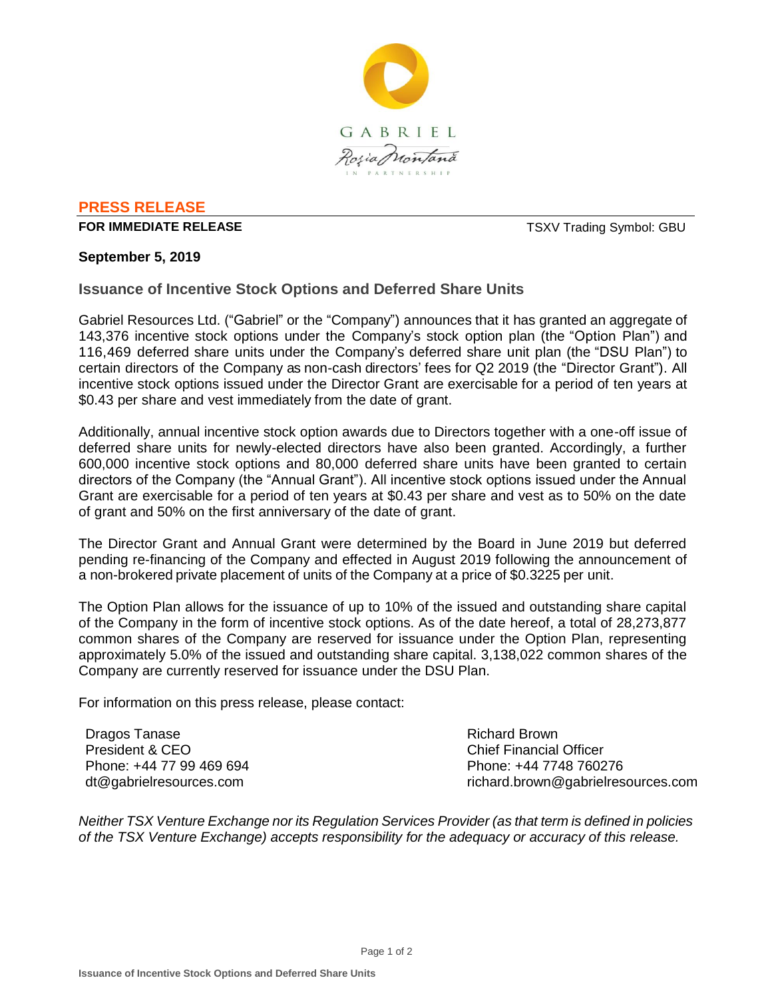

## **PRESS RELEASE**

### **FOR IMMEDIATE RELEASE** THE STATE REAST AND TO A SERVER TO A TOWARD TO A SERVER TO A SERVER THAT A SERVER THE STA

## **September 5, 2019**

**Issuance of Incentive Stock Options and Deferred Share Units**

Gabriel Resources Ltd. ("Gabriel" or the "Company") announces that it has granted an aggregate of 143,376 incentive stock options under the Company's stock option plan (the "Option Plan") and 116,469 deferred share units under the Company's deferred share unit plan (the "DSU Plan") to certain directors of the Company as non-cash directors' fees for Q2 2019 (the "Director Grant"). All incentive stock options issued under the Director Grant are exercisable for a period of ten years at \$0.43 per share and vest immediately from the date of grant.

Additionally, annual incentive stock option awards due to Directors together with a one-off issue of deferred share units for newly-elected directors have also been granted. Accordingly, a further 600,000 incentive stock options and 80,000 deferred share units have been granted to certain directors of the Company (the "Annual Grant"). All incentive stock options issued under the Annual Grant are exercisable for a period of ten years at \$0.43 per share and vest as to 50% on the date of grant and 50% on the first anniversary of the date of grant.

The Director Grant and Annual Grant were determined by the Board in June 2019 but deferred pending re-financing of the Company and effected in August 2019 following the announcement of a non-brokered private placement of units of the Company at a price of \$0.3225 per unit.

The Option Plan allows for the issuance of up to 10% of the issued and outstanding share capital of the Company in the form of incentive stock options. As of the date hereof, a total of 28,273,877 common shares of the Company are reserved for issuance under the Option Plan, representing approximately 5.0% of the issued and outstanding share capital. 3,138,022 common shares of the Company are currently reserved for issuance under the DSU Plan.

For information on this press release, please contact:

Dragos Tanase President & CEO Phone: +44 77 99 469 694 dt@gabrielresources.com

Richard Brown Chief Financial Officer Phone: +44 7748 760276 richard.brown@gabrielresources.com

*Neither TSX Venture Exchange nor its Regulation Services Provider (as that term is defined in policies of the TSX Venture Exchange) accepts responsibility for the adequacy or accuracy of this release.*